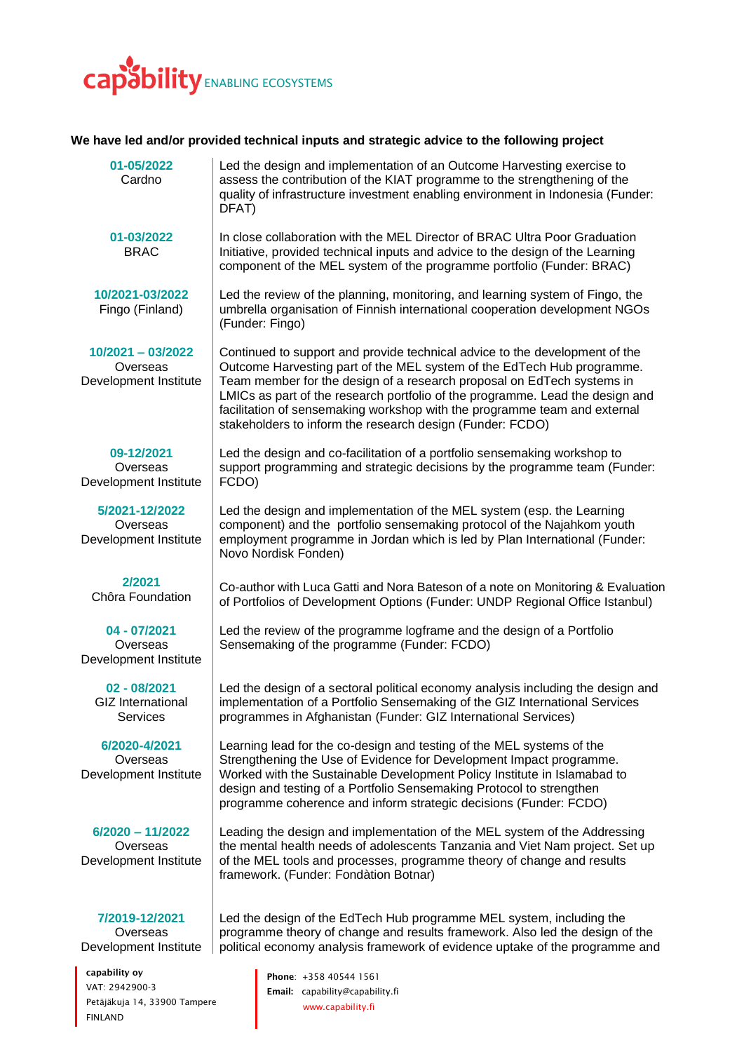

## **We have led and/or provided technical inputs and strategic advice to the following project**

| 01-05/2022<br>Cardno                                        | Led the design and implementation of an Outcome Harvesting exercise to<br>assess the contribution of the KIAT programme to the strengthening of the<br>quality of infrastructure investment enabling environment in Indonesia (Funder:<br>DFAT)                                                                                                                                                                                                            |
|-------------------------------------------------------------|------------------------------------------------------------------------------------------------------------------------------------------------------------------------------------------------------------------------------------------------------------------------------------------------------------------------------------------------------------------------------------------------------------------------------------------------------------|
| 01-03/2022<br><b>BRAC</b>                                   | In close collaboration with the MEL Director of BRAC Ultra Poor Graduation<br>Initiative, provided technical inputs and advice to the design of the Learning<br>component of the MEL system of the programme portfolio (Funder: BRAC)                                                                                                                                                                                                                      |
| 10/2021-03/2022<br>Fingo (Finland)                          | Led the review of the planning, monitoring, and learning system of Fingo, the<br>umbrella organisation of Finnish international cooperation development NGOs<br>(Funder: Fingo)                                                                                                                                                                                                                                                                            |
| $10/2021 - 03/2022$<br>Overseas<br>Development Institute    | Continued to support and provide technical advice to the development of the<br>Outcome Harvesting part of the MEL system of the EdTech Hub programme.<br>Team member for the design of a research proposal on EdTech systems in<br>LMICs as part of the research portfolio of the programme. Lead the design and<br>facilitation of sensemaking workshop with the programme team and external<br>stakeholders to inform the research design (Funder: FCDO) |
| 09-12/2021<br>Overseas<br>Development Institute             | Led the design and co-facilitation of a portfolio sensemaking workshop to<br>support programming and strategic decisions by the programme team (Funder:<br>FCDO)                                                                                                                                                                                                                                                                                           |
| 5/2021-12/2022<br>Overseas<br>Development Institute         | Led the design and implementation of the MEL system (esp. the Learning<br>component) and the portfolio sensemaking protocol of the Najahkom youth<br>employment programme in Jordan which is led by Plan International (Funder:<br>Novo Nordisk Fonden)                                                                                                                                                                                                    |
| 2/2021<br>Chôra Foundation                                  | Co-author with Luca Gatti and Nora Bateson of a note on Monitoring & Evaluation<br>of Portfolios of Development Options (Funder: UNDP Regional Office Istanbul)                                                                                                                                                                                                                                                                                            |
| 04 - 07/2021<br>Overseas<br>Development Institute           | Led the review of the programme logframe and the design of a Portfolio<br>Sensemaking of the programme (Funder: FCDO)                                                                                                                                                                                                                                                                                                                                      |
| 02 - 08/2021<br><b>GIZ</b> International<br><b>Services</b> | Led the design of a sectoral political economy analysis including the design and<br>implementation of a Portfolio Sensemaking of the GIZ International Services<br>programmes in Afghanistan (Funder: GIZ International Services)                                                                                                                                                                                                                          |
| 6/2020-4/2021<br>Overseas<br>Development Institute          | Learning lead for the co-design and testing of the MEL systems of the<br>Strengthening the Use of Evidence for Development Impact programme.<br>Worked with the Sustainable Development Policy Institute in Islamabad to<br>design and testing of a Portfolio Sensemaking Protocol to strengthen<br>programme coherence and inform strategic decisions (Funder: FCDO)                                                                                      |
| $6/2020 - 11/2022$<br>Overseas<br>Development Institute     | Leading the design and implementation of the MEL system of the Addressing<br>the mental health needs of adolescents Tanzania and Viet Nam project. Set up<br>of the MEL tools and processes, programme theory of change and results<br>framework. (Funder: Fondàtion Botnar)                                                                                                                                                                               |
| 7/2019-12/2021<br>Overseas<br>Development Institute         | Led the design of the EdTech Hub programme MEL system, including the<br>programme theory of change and results framework. Also led the design of the<br>political economy analysis framework of evidence uptake of the programme and                                                                                                                                                                                                                       |
| capability oy                                               | Phone: +358 40544 1561                                                                                                                                                                                                                                                                                                                                                                                                                                     |

VAT: 2942900-3 Petäjäkuja 14, 33900 Tampere FINLAND

Phone: +358 40544 1561 Email: [capability@capability.fi](mailto:capability@capability.fi) [www.capability.fi](https://d.docs.live.net/2fb34bebc30368ab/CAPABILITY/Administration/Template/www.capability.fi)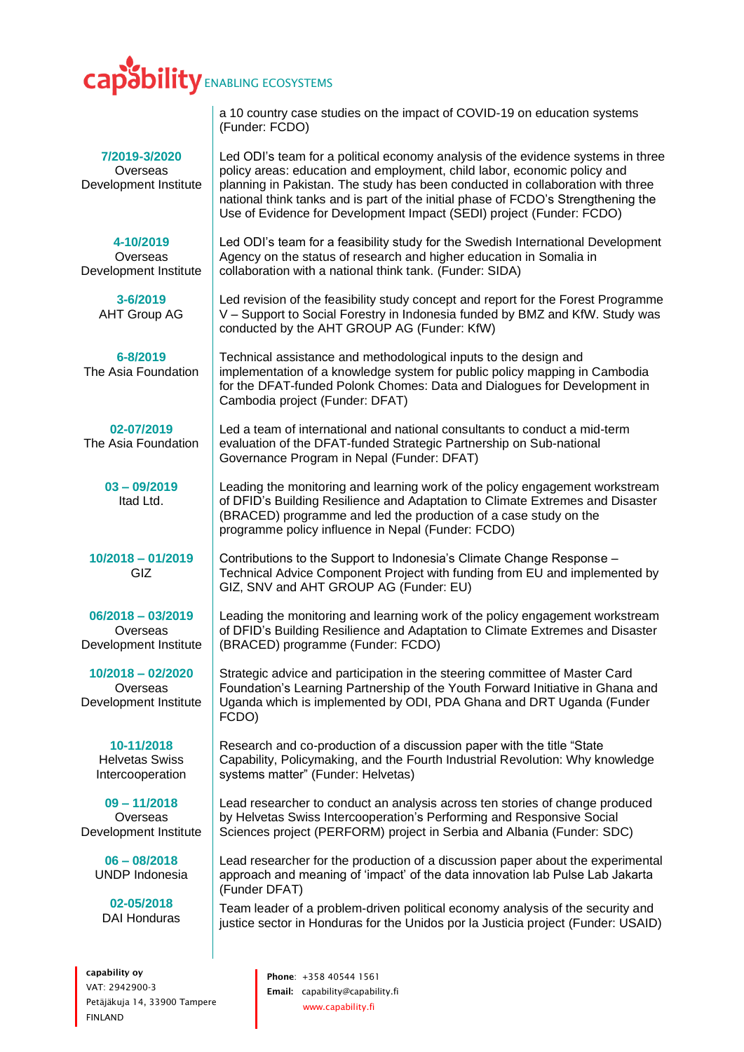## **Sbility** ENABLING ECOSYSTEMS

**7/2019-3/2020 Overseas** Development Institute

**4-10/2019**

Overseas Development Institute

> **3-6/2019** AHT Group AG

**6-8/2019** The Asia Foundation

**02-07/2019** The Asia Foundation

> **03 – 09/2019** Itad Ltd.

**10/2018 – 01/2019** GIZ

**06/2018 – 03/2019 Overseas** Development Institute

**10/2018 – 02/2020 Overseas** Development Institute

> **10-11/2018** Helvetas Swiss Intercooperation

**09 – 11/2018 Overseas** Development Institute

**06 – 08/2018** UNDP Indonesia

**02-05/2018** DAI Honduras

capability oy VAT: 2942900-3 Petäjäkuja 14, 33900 Tampere FINLAND

a 10 country case studies on the impact of COVID-19 on education systems (Funder: FCDO)

Led ODI's team for a political economy analysis of the evidence systems in three policy areas: education and employment, child labor, economic policy and planning in Pakistan. The study has been conducted in collaboration with three national think tanks and is part of the initial phase of FCDO's Strengthening the Use of Evidence for Development Impact (SEDI) project (Funder: FCDO)

Led ODI's team for a feasibility study for the Swedish International Development Agency on the status of research and higher education in Somalia in collaboration with a national think tank. (Funder: SIDA)

Led revision of the feasibility study concept and report for the Forest Programme V – Support to Social Forestry in Indonesia funded by BMZ and KfW. Study was conducted by the AHT GROUP AG (Funder: KfW)

Technical assistance and methodological inputs to the design and implementation of a knowledge system for public policy mapping in Cambodia for the DFAT-funded Polonk Chomes: Data and Dialogues for Development in Cambodia project (Funder: DFAT)

Led a team of international and national consultants to conduct a mid-term evaluation of the DFAT-funded Strategic Partnership on Sub-national Governance Program in Nepal (Funder: DFAT)

Leading the monitoring and learning work of the policy engagement workstream of DFID's Building Resilience and Adaptation to Climate Extremes and Disaster (BRACED) programme and led the production of a case study on the programme policy influence in Nepal (Funder: FCDO)

Contributions to the Support to Indonesia's Climate Change Response – Technical Advice Component Project with funding from EU and implemented by GIZ, SNV and AHT GROUP AG (Funder: EU)

Leading the monitoring and learning work of the policy engagement workstream of DFID's Building Resilience and Adaptation to Climate Extremes and Disaster (BRACED) programme (Funder: FCDO)

Strategic advice and participation in the steering committee of Master Card Foundation's Learning Partnership of the Youth Forward Initiative in Ghana and Uganda which is implemented by ODI, PDA Ghana and DRT Uganda (Funder FCDO)

Research and co-production of a discussion paper with the title "State Capability, Policymaking, and the Fourth Industrial Revolution: Why knowledge systems matter" (Funder: Helvetas)

Lead researcher to conduct an analysis across ten stories of change produced by Helvetas Swiss Intercooperation's Performing and Responsive Social Sciences project (PERFORM) project in Serbia and Albania (Funder: SDC)

Lead researcher for the production of a discussion paper about the experimental approach and meaning of 'impact' of the data innovation lab Pulse Lab Jakarta (Funder DFAT)

Team leader of a problem-driven political economy analysis of the security and justice sector in Honduras for the Unidos por la Justicia project (Funder: USAID)

> Phone: +358 40544 1561 Email: [capability@capability.fi](mailto:capability@capability.fi) [www.capability.fi](https://d.docs.live.net/2fb34bebc30368ab/CAPABILITY/Administration/Template/www.capability.fi)